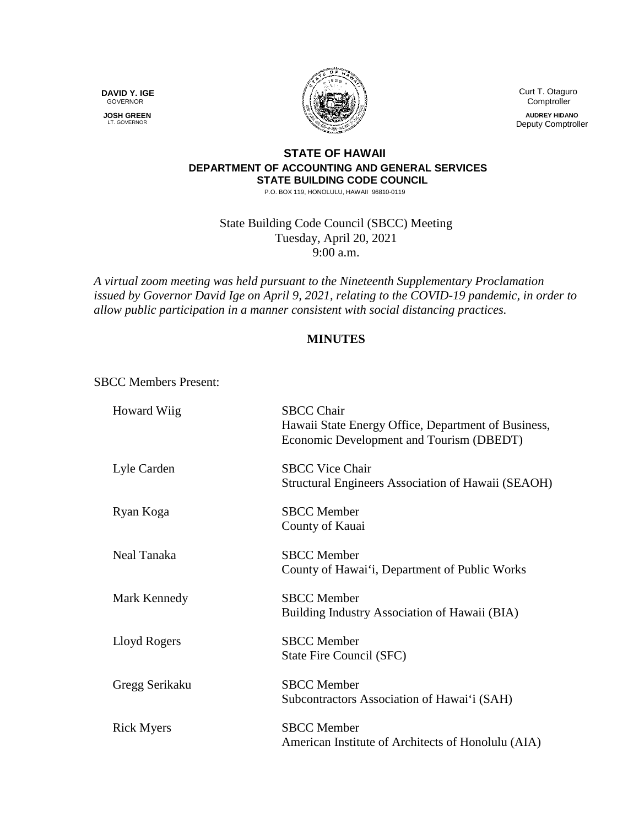**DAVID Y. IGE** GOVERNOR

 **JOSH GREEN** LT. GOVERNOR



 Curt T. Otaguro **Comptroller** 

**AUDREY HIDANO** Deputy Comptroller

## **STATE OF HAWAII DEPARTMENT OF ACCOUNTING AND GENERAL SERVICES STATE BUILDING CODE COUNCIL**

P.O. BOX 119, HONOLULU, HAWAII 96810-0119

State Building Code Council (SBCC) Meeting Tuesday, April 20, 2021 9:00 a.m.

*A virtual zoom meeting was held pursuant to the Nineteenth Supplementary Proclamation issued by Governor David Ige on April 9, 2021, relating to the COVID-19 pandemic, in order to allow public participation in a manner consistent with social distancing practices.* 

## **MINUTES**

SBCC Members Present:

| Howard Wiig       | <b>SBCC Chair</b><br>Hawaii State Energy Office, Department of Business,<br>Economic Development and Tourism (DBEDT) |
|-------------------|----------------------------------------------------------------------------------------------------------------------|
| Lyle Carden       | <b>SBCC Vice Chair</b><br>Structural Engineers Association of Hawaii (SEAOH)                                         |
| Ryan Koga         | <b>SBCC</b> Member<br>County of Kauai                                                                                |
| Neal Tanaka       | <b>SBCC</b> Member<br>County of Hawai'i, Department of Public Works                                                  |
| Mark Kennedy      | <b>SBCC</b> Member<br>Building Industry Association of Hawaii (BIA)                                                  |
| Lloyd Rogers      | <b>SBCC</b> Member<br>State Fire Council (SFC)                                                                       |
| Gregg Serikaku    | <b>SBCC</b> Member<br>Subcontractors Association of Hawai'i (SAH)                                                    |
| <b>Rick Myers</b> | <b>SBCC</b> Member<br>American Institute of Architects of Honolulu (AIA)                                             |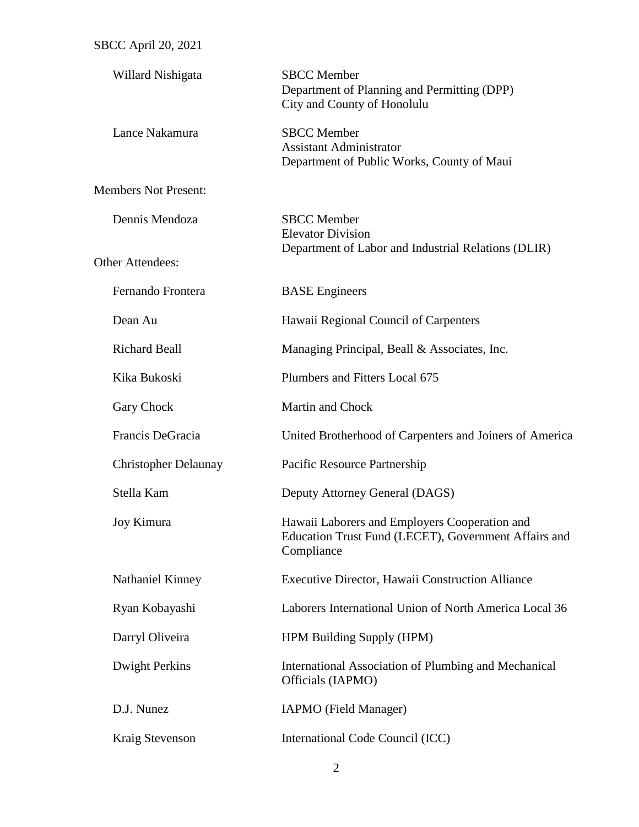| Willard Nishigata           | <b>SBCC</b> Member<br>Department of Planning and Permitting (DPP)<br>City and County of Honolulu                    |
|-----------------------------|---------------------------------------------------------------------------------------------------------------------|
| Lance Nakamura              | <b>SBCC</b> Member<br><b>Assistant Administrator</b><br>Department of Public Works, County of Maui                  |
| <b>Members Not Present:</b> |                                                                                                                     |
| Dennis Mendoza              | <b>SBCC</b> Member<br><b>Elevator Division</b><br>Department of Labor and Industrial Relations (DLIR)               |
| <b>Other Attendees:</b>     |                                                                                                                     |
| Fernando Frontera           | <b>BASE</b> Engineers                                                                                               |
| Dean Au                     | Hawaii Regional Council of Carpenters                                                                               |
| <b>Richard Beall</b>        | Managing Principal, Beall & Associates, Inc.                                                                        |
| Kika Bukoski                | Plumbers and Fitters Local 675                                                                                      |
| Gary Chock                  | Martin and Chock                                                                                                    |
| Francis DeGracia            | United Brotherhood of Carpenters and Joiners of America                                                             |
| <b>Christopher Delaunay</b> | Pacific Resource Partnership                                                                                        |
| Stella Kam                  | Deputy Attorney General (DAGS)                                                                                      |
| Joy Kimura                  | Hawaii Laborers and Employers Cooperation and<br>Education Trust Fund (LECET), Government Affairs and<br>Compliance |
| Nathaniel Kinney            | Executive Director, Hawaii Construction Alliance                                                                    |
| Ryan Kobayashi              | Laborers International Union of North America Local 36                                                              |
| Darryl Oliveira             | HPM Building Supply (HPM)                                                                                           |
| Dwight Perkins              | International Association of Plumbing and Mechanical<br>Officials (IAPMO)                                           |
| D.J. Nunez                  | IAPMO (Field Manager)                                                                                               |
| Kraig Stevenson             | International Code Council (ICC)                                                                                    |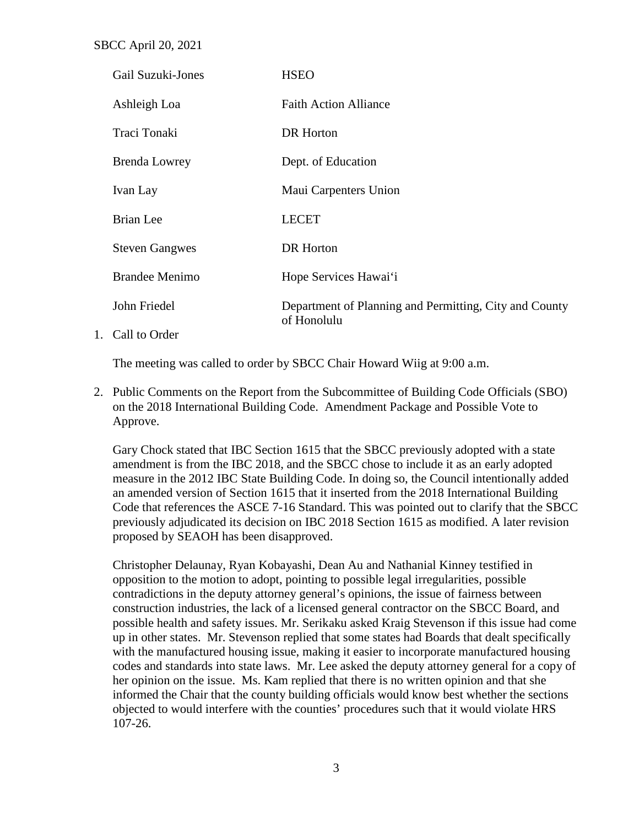SBCC April 20, 2021

| Gail Suzuki-Jones     | <b>HSEO</b>                                                           |
|-----------------------|-----------------------------------------------------------------------|
| Ashleigh Loa          | <b>Faith Action Alliance</b>                                          |
| Traci Tonaki          | DR Horton                                                             |
| <b>Brenda Lowrey</b>  | Dept. of Education                                                    |
| Ivan Lay              | Maui Carpenters Union                                                 |
| Brian Lee             | <b>LECET</b>                                                          |
| <b>Steven Gangwes</b> | DR Horton                                                             |
| <b>Brandee Menimo</b> | Hope Services Hawai'i                                                 |
| John Friedel          | Department of Planning and Permitting, City and County<br>of Honolulu |
| $\sim$ 11 $\sim$ 1    |                                                                       |

1. Call to Order

The meeting was called to order by SBCC Chair Howard Wiig at 9:00 a.m.

2. Public Comments on the Report from the Subcommittee of Building Code Officials (SBO) on the 2018 International Building Code. Amendment Package and Possible Vote to Approve.

Gary Chock stated that IBC Section 1615 that the SBCC previously adopted with a state amendment is from the IBC 2018, and the SBCC chose to include it as an early adopted measure in the 2012 IBC State Building Code. In doing so, the Council intentionally added an amended version of Section 1615 that it inserted from the 2018 International Building Code that references the ASCE 7-16 Standard. This was pointed out to clarify that the SBCC previously adjudicated its decision on IBC 2018 Section 1615 as modified. A later revision proposed by SEAOH has been disapproved.

Christopher Delaunay, Ryan Kobayashi, Dean Au and Nathanial Kinney testified in opposition to the motion to adopt, pointing to possible legal irregularities, possible contradictions in the deputy attorney general's opinions, the issue of fairness between construction industries, the lack of a licensed general contractor on the SBCC Board, and possible health and safety issues. Mr. Serikaku asked Kraig Stevenson if this issue had come up in other states. Mr. Stevenson replied that some states had Boards that dealt specifically with the manufactured housing issue, making it easier to incorporate manufactured housing codes and standards into state laws. Mr. Lee asked the deputy attorney general for a copy of her opinion on the issue. Ms. Kam replied that there is no written opinion and that she informed the Chair that the county building officials would know best whether the sections objected to would interfere with the counties' procedures such that it would violate HRS 107-26.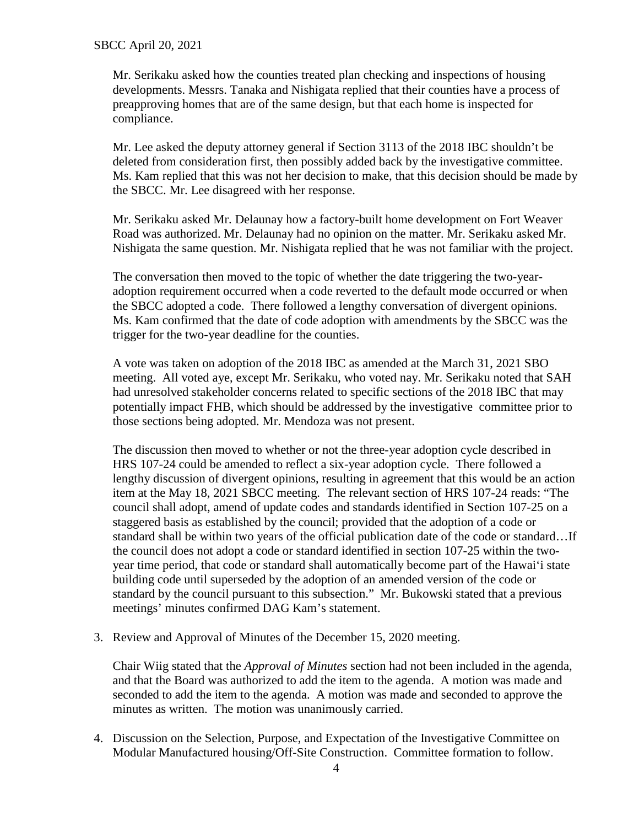Mr. Serikaku asked how the counties treated plan checking and inspections of housing developments. Messrs. Tanaka and Nishigata replied that their counties have a process of preapproving homes that are of the same design, but that each home is inspected for compliance.

Mr. Lee asked the deputy attorney general if Section 3113 of the 2018 IBC shouldn't be deleted from consideration first, then possibly added back by the investigative committee. Ms. Kam replied that this was not her decision to make, that this decision should be made by the SBCC. Mr. Lee disagreed with her response.

Mr. Serikaku asked Mr. Delaunay how a factory-built home development on Fort Weaver Road was authorized. Mr. Delaunay had no opinion on the matter. Mr. Serikaku asked Mr. Nishigata the same question. Mr. Nishigata replied that he was not familiar with the project.

The conversation then moved to the topic of whether the date triggering the two-yearadoption requirement occurred when a code reverted to the default mode occurred or when the SBCC adopted a code. There followed a lengthy conversation of divergent opinions. Ms. Kam confirmed that the date of code adoption with amendments by the SBCC was the trigger for the two-year deadline for the counties.

A vote was taken on adoption of the 2018 IBC as amended at the March 31, 2021 SBO meeting. All voted aye, except Mr. Serikaku, who voted nay. Mr. Serikaku noted that SAH had unresolved stakeholder concerns related to specific sections of the 2018 IBC that may potentially impact FHB, which should be addressed by the investigative committee prior to those sections being adopted. Mr. Mendoza was not present.

The discussion then moved to whether or not the three-year adoption cycle described in HRS 107-24 could be amended to reflect a six-year adoption cycle. There followed a lengthy discussion of divergent opinions, resulting in agreement that this would be an action item at the May 18, 2021 SBCC meeting. The relevant section of HRS 107-24 reads: "The council shall adopt, amend of update codes and standards identified in Section 107-25 on a staggered basis as established by the council; provided that the adoption of a code or standard shall be within two years of the official publication date of the code or standard…If the council does not adopt a code or standard identified in section 107-25 within the twoyear time period, that code or standard shall automatically become part of the Hawai'i state building code until superseded by the adoption of an amended version of the code or standard by the council pursuant to this subsection." Mr. Bukowski stated that a previous meetings' minutes confirmed DAG Kam's statement.

3. Review and Approval of Minutes of the December 15, 2020 meeting.

Chair Wiig stated that the *Approval of Minutes* section had not been included in the agenda, and that the Board was authorized to add the item to the agenda. A motion was made and seconded to add the item to the agenda. A motion was made and seconded to approve the minutes as written. The motion was unanimously carried.

4. Discussion on the Selection, Purpose, and Expectation of the Investigative Committee on Modular Manufactured housing/Off-Site Construction. Committee formation to follow.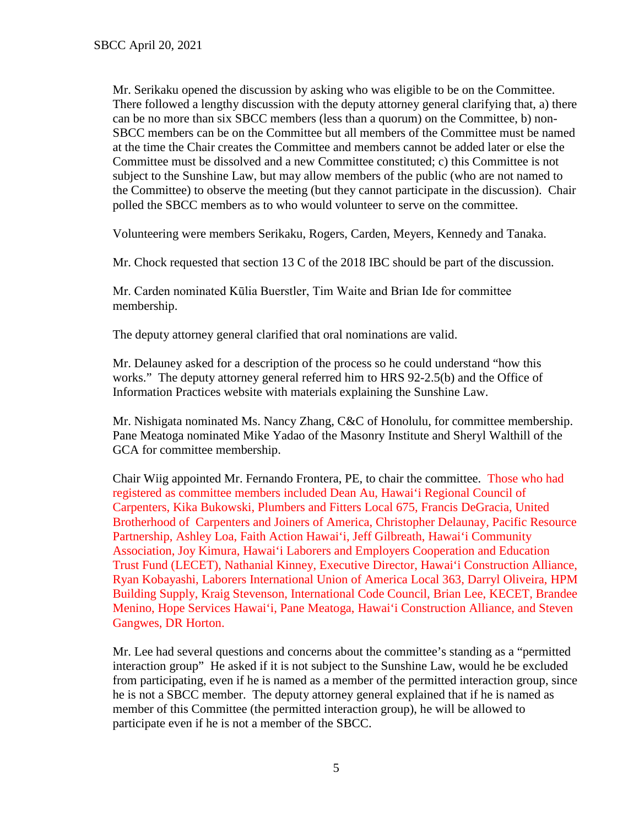Mr. Serikaku opened the discussion by asking who was eligible to be on the Committee. There followed a lengthy discussion with the deputy attorney general clarifying that, a) there can be no more than six SBCC members (less than a quorum) on the Committee, b) non-SBCC members can be on the Committee but all members of the Committee must be named at the time the Chair creates the Committee and members cannot be added later or else the Committee must be dissolved and a new Committee constituted; c) this Committee is not subject to the Sunshine Law, but may allow members of the public (who are not named to the Committee) to observe the meeting (but they cannot participate in the discussion). Chair polled the SBCC members as to who would volunteer to serve on the committee.

Volunteering were members Serikaku, Rogers, Carden, Meyers, Kennedy and Tanaka.

Mr. Chock requested that section 13 C of the 2018 IBC should be part of the discussion.

Mr. Carden nominated Kūlia Buerstler, Tim Waite and Brian Ide for committee membership.

The deputy attorney general clarified that oral nominations are valid.

Mr. Delauney asked for a description of the process so he could understand "how this works." The deputy attorney general referred him to HRS 92-2.5(b) and the Office of Information Practices website with materials explaining the Sunshine Law.

Mr. Nishigata nominated Ms. Nancy Zhang, C&C of Honolulu, for committee membership. Pane Meatoga nominated Mike Yadao of the Masonry Institute and Sheryl Walthill of the GCA for committee membership.

Chair Wiig appointed Mr. Fernando Frontera, PE, to chair the committee. Those who had registered as committee members included Dean Au, Hawai'i Regional Council of Carpenters, Kika Bukowski, Plumbers and Fitters Local 675, Francis DeGracia, United Brotherhood of Carpenters and Joiners of America, Christopher Delaunay, Pacific Resource Partnership, Ashley Loa, Faith Action Hawai'i, Jeff Gilbreath, Hawai'i Community Association, Joy Kimura, Hawai'i Laborers and Employers Cooperation and Education Trust Fund (LECET), Nathanial Kinney, Executive Director, Hawai'i Construction Alliance, Ryan Kobayashi, Laborers International Union of America Local 363, Darryl Oliveira, HPM Building Supply, Kraig Stevenson, International Code Council, Brian Lee, KECET, Brandee Menino, Hope Services Hawai'i, Pane Meatoga, Hawai'i Construction Alliance, and Steven Gangwes, DR Horton.

Mr. Lee had several questions and concerns about the committee's standing as a "permitted interaction group" He asked if it is not subject to the Sunshine Law, would he be excluded from participating, even if he is named as a member of the permitted interaction group, since he is not a SBCC member. The deputy attorney general explained that if he is named as member of this Committee (the permitted interaction group), he will be allowed to participate even if he is not a member of the SBCC.